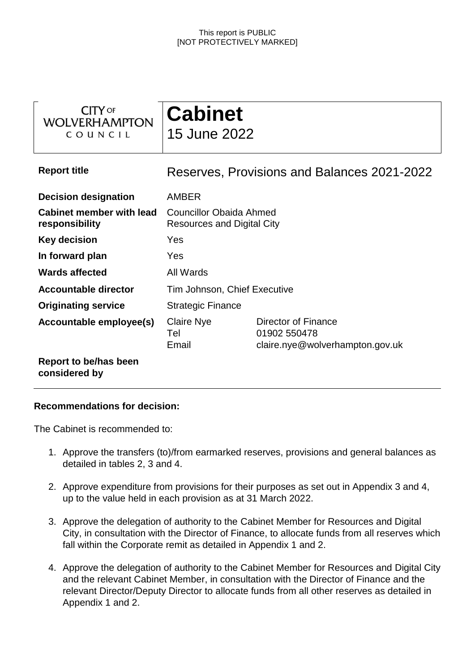| <b>CITY OF</b><br><b>WOLVERHAMPTON</b><br>COUNCIL | <b>Cabinet</b><br>15 June 2022                                      |                                                                        |  |  |
|---------------------------------------------------|---------------------------------------------------------------------|------------------------------------------------------------------------|--|--|
| <b>Report title</b>                               | Reserves, Provisions and Balances 2021-2022                         |                                                                        |  |  |
| <b>Decision designation</b>                       | <b>AMBER</b>                                                        |                                                                        |  |  |
| <b>Cabinet member with lead</b><br>responsibility | <b>Councillor Obaida Ahmed</b><br><b>Resources and Digital City</b> |                                                                        |  |  |
| <b>Key decision</b>                               | Yes                                                                 |                                                                        |  |  |
| In forward plan                                   | Yes                                                                 |                                                                        |  |  |
| <b>Wards affected</b>                             | All Wards                                                           |                                                                        |  |  |
| <b>Accountable director</b>                       | Tim Johnson, Chief Executive                                        |                                                                        |  |  |
| <b>Originating service</b>                        | <b>Strategic Finance</b>                                            |                                                                        |  |  |
| Accountable employee(s)                           | <b>Claire Nye</b><br>Tel<br>Email                                   | Director of Finance<br>01902 550478<br>claire.nye@wolverhampton.gov.uk |  |  |
| Report to be/has been<br>considered by            |                                                                     |                                                                        |  |  |

### **Recommendations for decision:**

The Cabinet is recommended to:

- 1. Approve the transfers (to)/from earmarked reserves, provisions and general balances as detailed in tables 2, 3 and 4.
- 2. Approve expenditure from provisions for their purposes as set out in Appendix 3 and 4, up to the value held in each provision as at 31 March 2022.
- 3. Approve the delegation of authority to the Cabinet Member for Resources and Digital City, in consultation with the Director of Finance, to allocate funds from all reserves which fall within the Corporate remit as detailed in Appendix 1 and 2.
- 4. Approve the delegation of authority to the Cabinet Member for Resources and Digital City and the relevant Cabinet Member, in consultation with the Director of Finance and the relevant Director/Deputy Director to allocate funds from all other reserves as detailed in Appendix 1 and 2.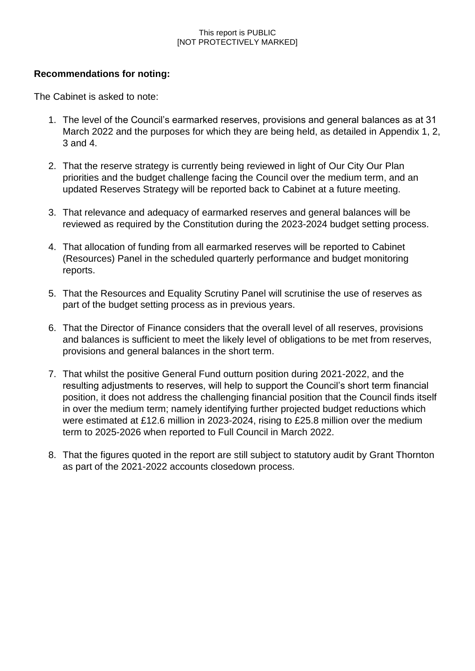### **Recommendations for noting:**

The Cabinet is asked to note:

- 1. The level of the Council's earmarked reserves, provisions and general balances as at 31 March 2022 and the purposes for which they are being held, as detailed in Appendix 1, 2, 3 and 4.
- 2. That the reserve strategy is currently being reviewed in light of Our City Our Plan priorities and the budget challenge facing the Council over the medium term, and an updated Reserves Strategy will be reported back to Cabinet at a future meeting.
- 3. That relevance and adequacy of earmarked reserves and general balances will be reviewed as required by the Constitution during the 2023-2024 budget setting process.
- 4. That allocation of funding from all earmarked reserves will be reported to Cabinet (Resources) Panel in the scheduled quarterly performance and budget monitoring reports.
- 5. That the Resources and Equality Scrutiny Panel will scrutinise the use of reserves as part of the budget setting process as in previous years.
- 6. That the Director of Finance considers that the overall level of all reserves, provisions and balances is sufficient to meet the likely level of obligations to be met from reserves, provisions and general balances in the short term.
- 7. That whilst the positive General Fund outturn position during 2021-2022, and the resulting adjustments to reserves, will help to support the Council's short term financial position, it does not address the challenging financial position that the Council finds itself in over the medium term; namely identifying further projected budget reductions which were estimated at £12.6 million in 2023-2024, rising to £25.8 million over the medium term to 2025-2026 when reported to Full Council in March 2022.
- 8. That the figures quoted in the report are still subject to statutory audit by Grant Thornton as part of the 2021-2022 accounts closedown process.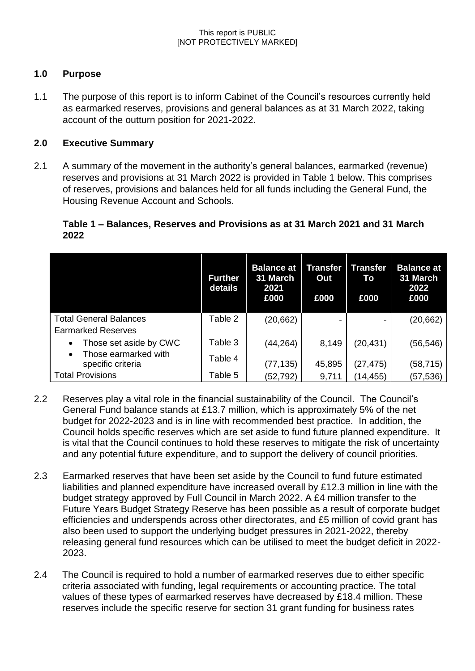# **1.0 Purpose**

1.1 The purpose of this report is to inform Cabinet of the Council's resources currently held as earmarked reserves, provisions and general balances as at 31 March 2022, taking account of the outturn position for 2021-2022.

### **2.0 Executive Summary**

2.1 A summary of the movement in the authority's general balances, earmarked (revenue) reserves and provisions at 31 March 2022 is provided in Table 1 below. This comprises of reserves, provisions and balances held for all funds including the General Fund, the Housing Revenue Account and Schools.

### **Table 1 – Balances, Reserves and Provisions as at 31 March 2021 and 31 March 2022**

|                                                        | <b>Further</b><br>details | <b>Balance at</b><br>31 March<br>2021<br>£000 | Transfer<br>Out<br>£000 | Transfer<br>To<br>£000 | <b>Balance at</b><br>31 March<br>2022<br>£000 |
|--------------------------------------------------------|---------------------------|-----------------------------------------------|-------------------------|------------------------|-----------------------------------------------|
| <b>Total General Balances</b>                          | Table 2                   | (20, 662)                                     | -                       |                        | (20, 662)                                     |
| <b>Earmarked Reserves</b>                              |                           |                                               |                         |                        |                                               |
| Those set aside by CWC                                 | Table 3                   | (44,264)                                      | 8,149                   | (20, 431)              | (56,546)                                      |
| Those earmarked with<br>$\bullet$<br>specific criteria | Table 4                   | (77, 135)                                     | 45,895                  | (27, 475)              | (58, 715)                                     |
| <b>Total Provisions</b>                                | Table 5                   | (52, 792)                                     | 9,711                   | (14, 455)              | (57, 536)                                     |

- 2.2 Reserves play a vital role in the financial sustainability of the Council. The Council's General Fund balance stands at £13.7 million, which is approximately 5% of the net budget for 2022-2023 and is in line with recommended best practice. In addition, the Council holds specific reserves which are set aside to fund future planned expenditure. It is vital that the Council continues to hold these reserves to mitigate the risk of uncertainty and any potential future expenditure, and to support the delivery of council priorities.
- 2.3 Earmarked reserves that have been set aside by the Council to fund future estimated liabilities and planned expenditure have increased overall by £12.3 million in line with the budget strategy approved by Full Council in March 2022. A £4 million transfer to the Future Years Budget Strategy Reserve has been possible as a result of corporate budget efficiencies and underspends across other directorates, and £5 million of covid grant has also been used to support the underlying budget pressures in 2021-2022, thereby releasing general fund resources which can be utilised to meet the budget deficit in 2022- 2023.
- 2.4 The Council is required to hold a number of earmarked reserves due to either specific criteria associated with funding, legal requirements or accounting practice. The total values of these types of earmarked reserves have decreased by £18.4 million. These reserves include the specific reserve for section 31 grant funding for business rates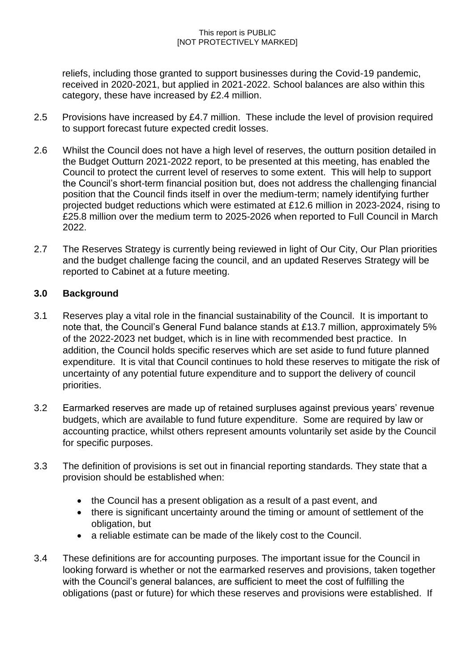reliefs, including those granted to support businesses during the Covid-19 pandemic, received in 2020-2021, but applied in 2021-2022. School balances are also within this category, these have increased by £2.4 million.

- 2.5 Provisions have increased by £4.7 million. These include the level of provision required to support forecast future expected credit losses.
- 2.6 Whilst the Council does not have a high level of reserves, the outturn position detailed in the Budget Outturn 2021-2022 report, to be presented at this meeting, has enabled the Council to protect the current level of reserves to some extent. This will help to support the Council's short-term financial position but, does not address the challenging financial position that the Council finds itself in over the medium-term; namely identifying further projected budget reductions which were estimated at £12.6 million in 2023-2024, rising to £25.8 million over the medium term to 2025-2026 when reported to Full Council in March 2022.
- 2.7 The Reserves Strategy is currently being reviewed in light of Our City, Our Plan priorities and the budget challenge facing the council, and an updated Reserves Strategy will be reported to Cabinet at a future meeting.

# **3.0 Background**

- 3.1 Reserves play a vital role in the financial sustainability of the Council. It is important to note that, the Council's General Fund balance stands at £13.7 million, approximately 5% of the 2022-2023 net budget, which is in line with recommended best practice. In addition, the Council holds specific reserves which are set aside to fund future planned expenditure. It is vital that Council continues to hold these reserves to mitigate the risk of uncertainty of any potential future expenditure and to support the delivery of council priorities.
- 3.2 Earmarked reserves are made up of retained surpluses against previous years' revenue budgets, which are available to fund future expenditure. Some are required by law or accounting practice, whilst others represent amounts voluntarily set aside by the Council for specific purposes.
- 3.3 The definition of provisions is set out in financial reporting standards. They state that a provision should be established when:
	- the Council has a present obligation as a result of a past event, and
	- there is significant uncertainty around the timing or amount of settlement of the obligation, but
	- a reliable estimate can be made of the likely cost to the Council.
- 3.4 These definitions are for accounting purposes. The important issue for the Council in looking forward is whether or not the earmarked reserves and provisions, taken together with the Council's general balances, are sufficient to meet the cost of fulfilling the obligations (past or future) for which these reserves and provisions were established. If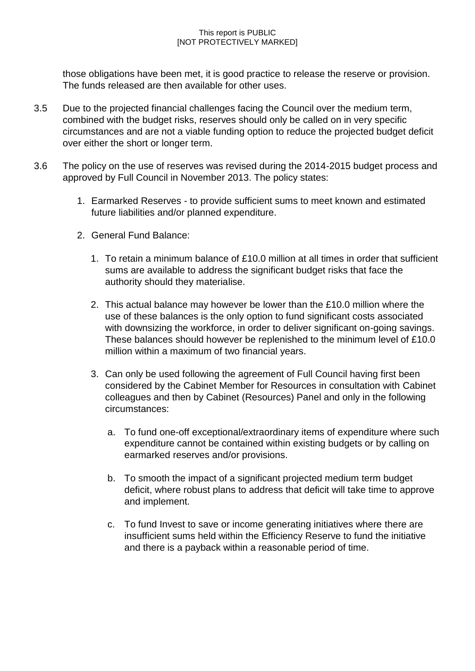those obligations have been met, it is good practice to release the reserve or provision. The funds released are then available for other uses.

- 3.5 Due to the projected financial challenges facing the Council over the medium term, combined with the budget risks, reserves should only be called on in very specific circumstances and are not a viable funding option to reduce the projected budget deficit over either the short or longer term.
- 3.6 The policy on the use of reserves was revised during the 2014-2015 budget process and approved by Full Council in November 2013. The policy states:
	- 1. Earmarked Reserves to provide sufficient sums to meet known and estimated future liabilities and/or planned expenditure.
	- 2. General Fund Balance:
		- 1. To retain a minimum balance of £10.0 million at all times in order that sufficient sums are available to address the significant budget risks that face the authority should they materialise.
		- 2. This actual balance may however be lower than the £10.0 million where the use of these balances is the only option to fund significant costs associated with downsizing the workforce, in order to deliver significant on-going savings. These balances should however be replenished to the minimum level of £10.0 million within a maximum of two financial years.
		- 3. Can only be used following the agreement of Full Council having first been considered by the Cabinet Member for Resources in consultation with Cabinet colleagues and then by Cabinet (Resources) Panel and only in the following circumstances:
			- a. To fund one-off exceptional/extraordinary items of expenditure where such expenditure cannot be contained within existing budgets or by calling on earmarked reserves and/or provisions.
			- b. To smooth the impact of a significant projected medium term budget deficit, where robust plans to address that deficit will take time to approve and implement.
			- c. To fund Invest to save or income generating initiatives where there are insufficient sums held within the Efficiency Reserve to fund the initiative and there is a payback within a reasonable period of time.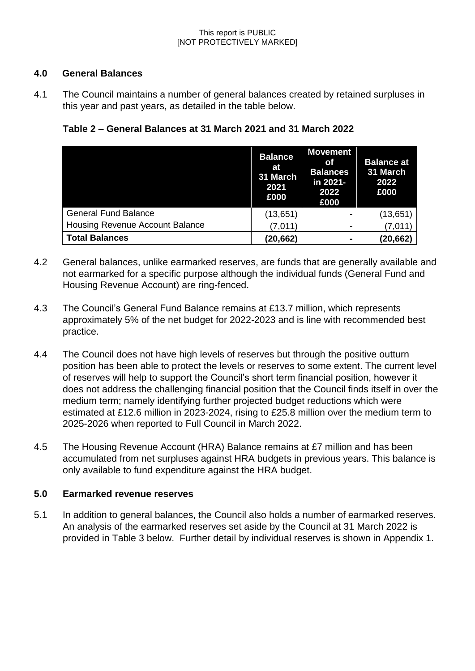### **4.0 General Balances**

4.1 The Council maintains a number of general balances created by retained surpluses in this year and past years, as detailed in the table below.

**Table 2 – General Balances at 31 March 2021 and 31 March 2022**

|                                        | <b>Balance</b><br>at<br>31 March<br>2021<br>£000 | <b>Movement</b><br><b>of</b><br><b>Balances</b><br>in 2021-<br>2022<br>£000 | <b>Balance at</b><br>31 March<br>2022<br>£000 |
|----------------------------------------|--------------------------------------------------|-----------------------------------------------------------------------------|-----------------------------------------------|
| <b>General Fund Balance</b>            | (13, 651)                                        |                                                                             | (13,651)                                      |
| <b>Housing Revenue Account Balance</b> | (7,011)                                          |                                                                             | (7,011)                                       |
| <b>Total Balances</b>                  | (20, 662)                                        |                                                                             | (20, 662)                                     |

- 4.2 General balances, unlike earmarked reserves, are funds that are generally available and not earmarked for a specific purpose although the individual funds (General Fund and Housing Revenue Account) are ring-fenced.
- 4.3 The Council's General Fund Balance remains at £13.7 million, which represents approximately 5% of the net budget for 2022-2023 and is line with recommended best practice.
- 4.4 The Council does not have high levels of reserves but through the positive outturn position has been able to protect the levels or reserves to some extent. The current level of reserves will help to support the Council's short term financial position, however it does not address the challenging financial position that the Council finds itself in over the medium term; namely identifying further projected budget reductions which were estimated at £12.6 million in 2023-2024, rising to £25.8 million over the medium term to 2025-2026 when reported to Full Council in March 2022.
- 4.5 The Housing Revenue Account (HRA) Balance remains at £7 million and has been accumulated from net surpluses against HRA budgets in previous years. This balance is only available to fund expenditure against the HRA budget.

# **5.0 Earmarked revenue reserves**

5.1 In addition to general balances, the Council also holds a number of earmarked reserves. An analysis of the earmarked reserves set aside by the Council at 31 March 2022 is provided in Table 3 below. Further detail by individual reserves is shown in Appendix 1.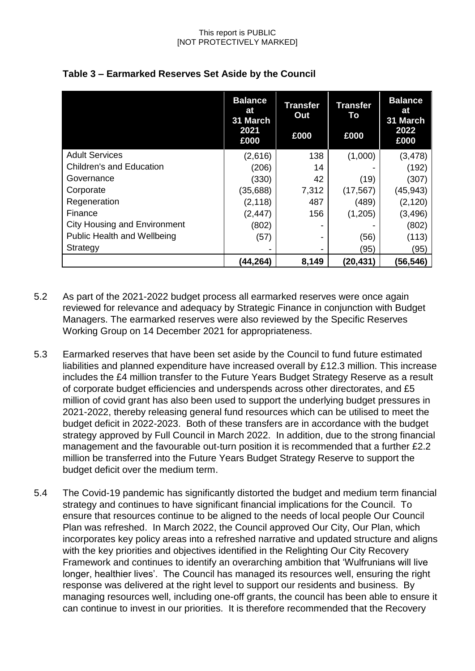|                                     | <b>Balance</b><br>at<br>31 March<br>2021<br>£000 | <b>Transfer</b><br>Out<br>£000 | <b>Transfer</b><br>To<br>£000 | <b>Balance</b><br>at<br>31 March<br>2022<br>£000 |
|-------------------------------------|--------------------------------------------------|--------------------------------|-------------------------------|--------------------------------------------------|
| <b>Adult Services</b>               | (2,616)                                          | 138                            | (1,000)                       | (3, 478)                                         |
| <b>Children's and Education</b>     | (206)                                            | 14                             |                               | (192)                                            |
| Governance                          | (330)                                            | 42                             | (19)                          | (307)                                            |
| Corporate                           | (35, 688)                                        | 7,312                          | (17, 567)                     | (45,943)                                         |
| Regeneration                        | (2, 118)                                         | 487                            | (489)                         | (2, 120)                                         |
| Finance                             | (2, 447)                                         | 156                            | (1,205)                       | (3, 496)                                         |
| <b>City Housing and Environment</b> | (802)                                            |                                |                               | (802)                                            |
| <b>Public Health and Wellbeing</b>  | (57)                                             | -                              | (56)                          | (113)                                            |
| Strategy                            | -                                                | -                              | (95)                          | (95)                                             |
|                                     | (44,264)                                         | 8,149                          | (20, 431)                     | (56,546)                                         |

# **Table 3 – Earmarked Reserves Set Aside by the Council**

- 5.2 As part of the 2021-2022 budget process all earmarked reserves were once again reviewed for relevance and adequacy by Strategic Finance in conjunction with Budget Managers. The earmarked reserves were also reviewed by the Specific Reserves Working Group on 14 December 2021 for appropriateness.
- 5.3 Earmarked reserves that have been set aside by the Council to fund future estimated liabilities and planned expenditure have increased overall by £12.3 million. This increase includes the £4 million transfer to the Future Years Budget Strategy Reserve as a result of corporate budget efficiencies and underspends across other directorates, and £5 million of covid grant has also been used to support the underlying budget pressures in 2021-2022, thereby releasing general fund resources which can be utilised to meet the budget deficit in 2022-2023. Both of these transfers are in accordance with the budget strategy approved by Full Council in March 2022. In addition, due to the strong financial management and the favourable out-turn position it is recommended that a further £2.2 million be transferred into the Future Years Budget Strategy Reserve to support the budget deficit over the medium term.
- 5.4 The Covid-19 pandemic has significantly distorted the budget and medium term financial strategy and continues to have significant financial implications for the Council. To ensure that resources continue to be aligned to the needs of local people Our Council Plan was refreshed. In March 2022, the Council approved Our City, Our Plan, which incorporates key policy areas into a refreshed narrative and updated structure and aligns with the key priorities and objectives identified in the Relighting Our City Recovery Framework and continues to identify an overarching ambition that 'Wulfrunians will live longer, healthier lives'. The Council has managed its resources well, ensuring the right response was delivered at the right level to support our residents and business. By managing resources well, including one-off grants, the council has been able to ensure it can continue to invest in our priorities. It is therefore recommended that the Recovery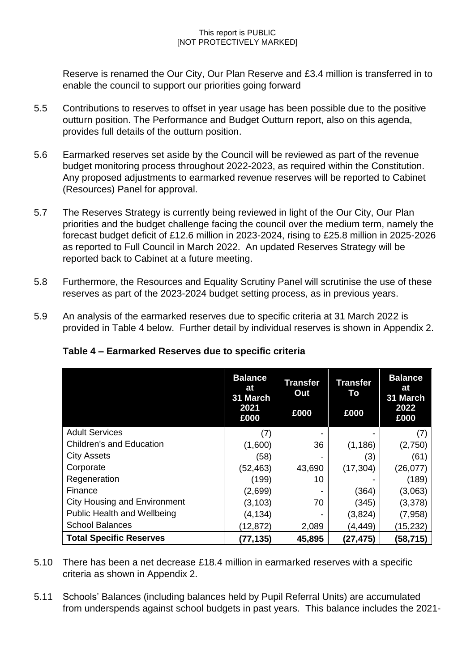Reserve is renamed the Our City, Our Plan Reserve and £3.4 million is transferred in to enable the council to support our priorities going forward

- 5.5 Contributions to reserves to offset in year usage has been possible due to the positive outturn position. The Performance and Budget Outturn report, also on this agenda, provides full details of the outturn position.
- 5.6 Earmarked reserves set aside by the Council will be reviewed as part of the revenue budget monitoring process throughout 2022-2023, as required within the Constitution. Any proposed adjustments to earmarked revenue reserves will be reported to Cabinet (Resources) Panel for approval.
- 5.7 The Reserves Strategy is currently being reviewed in light of the Our City, Our Plan priorities and the budget challenge facing the council over the medium term, namely the forecast budget deficit of £12.6 million in 2023-2024, rising to £25.8 million in 2025-2026 as reported to Full Council in March 2022. An updated Reserves Strategy will be reported back to Cabinet at a future meeting.
- 5.8 Furthermore, the Resources and Equality Scrutiny Panel will scrutinise the use of these reserves as part of the 2023-2024 budget setting process, as in previous years.
- 5.9 An analysis of the earmarked reserves due to specific criteria at 31 March 2022 is provided in Table 4 below. Further detail by individual reserves is shown in Appendix 2.

|                                     | <b>Balance</b><br>at<br>31 March<br>2021<br>£000 | <b>Transfer</b><br>Out<br>£000 | <b>Transfer</b><br>To<br>£000 | <b>Balance</b><br>at<br>31 March<br>2022<br>£000 |
|-------------------------------------|--------------------------------------------------|--------------------------------|-------------------------------|--------------------------------------------------|
| <b>Adult Services</b>               | (7)                                              |                                |                               | (7)                                              |
| <b>Children's and Education</b>     | (1,600)                                          | 36                             | (1, 186)                      | (2,750)                                          |
| <b>City Assets</b>                  | (58)                                             |                                | (3)                           | (61)                                             |
| Corporate                           | (52, 463)                                        | 43,690                         | (17, 304)                     | (26, 077)                                        |
| Regeneration                        | (199)                                            | 10                             |                               | (189)                                            |
| Finance                             | (2,699)                                          |                                | (364)                         | (3,063)                                          |
| <b>City Housing and Environment</b> | (3, 103)                                         | 70                             | (345)                         | (3,378)                                          |
| Public Health and Wellbeing         | (4, 134)                                         |                                | (3,824)                       | (7,958)                                          |
| <b>School Balances</b>              | (12, 872)                                        | 2,089                          | (4, 449)                      | (15,232)                                         |
| <b>Total Specific Reserves</b>      | (77, 135)                                        | 45,895                         | (27, 475)                     | (58,715)                                         |

# **Table 4 – Earmarked Reserves due to specific criteria**

- 5.10 There has been a net decrease £18.4 million in earmarked reserves with a specific criteria as shown in Appendix 2.
- 5.11 Schools' Balances (including balances held by Pupil Referral Units) are accumulated from underspends against school budgets in past years. This balance includes the 2021-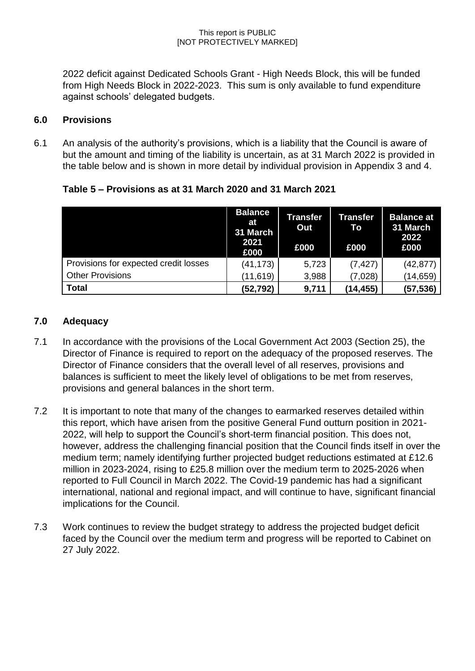2022 deficit against Dedicated Schools Grant - High Needs Block, this will be funded from High Needs Block in 2022-2023. This sum is only available to fund expenditure against schools' delegated budgets.

### **6.0 Provisions**

6.1 An analysis of the authority's provisions, which is a liability that the Council is aware of but the amount and timing of the liability is uncertain, as at 31 March 2022 is provided in the table below and is shown in more detail by individual provision in Appendix 3 and 4.

| Table 5 – Provisions as at 31 March 2020 and 31 March 2021 |  |  |  |
|------------------------------------------------------------|--|--|--|
|                                                            |  |  |  |

|                                       | <b>Balance</b><br>at<br>31 March<br>2021<br>£000 | <b>Transfer</b><br>Out<br>£000 | Transfer<br>To<br>£000 | <b>Balance at</b><br>31 March<br>2022<br>£000 |
|---------------------------------------|--------------------------------------------------|--------------------------------|------------------------|-----------------------------------------------|
| Provisions for expected credit losses | (41, 173)                                        | 5,723                          | (7, 427)               | (42, 877)                                     |
| <b>Other Provisions</b>               | (11, 619)                                        | 3,988                          | (7,028)                | (14, 659)                                     |
| <b>Total</b>                          | (52,792)                                         | 9,711                          | (14,455)               | (57,536)                                      |

### **7.0 Adequacy**

- 7.1 In accordance with the provisions of the Local Government Act 2003 (Section 25), the Director of Finance is required to report on the adequacy of the proposed reserves. The Director of Finance considers that the overall level of all reserves, provisions and balances is sufficient to meet the likely level of obligations to be met from reserves, provisions and general balances in the short term.
- 7.2 It is important to note that many of the changes to earmarked reserves detailed within this report, which have arisen from the positive General Fund outturn position in 2021- 2022, will help to support the Council's short-term financial position. This does not, however, address the challenging financial position that the Council finds itself in over the medium term; namely identifying further projected budget reductions estimated at £12.6 million in 2023-2024, rising to £25.8 million over the medium term to 2025-2026 when reported to Full Council in March 2022. The Covid-19 pandemic has had a significant international, national and regional impact, and will continue to have, significant financial implications for the Council.
- 7.3 Work continues to review the budget strategy to address the projected budget deficit faced by the Council over the medium term and progress will be reported to Cabinet on 27 July 2022.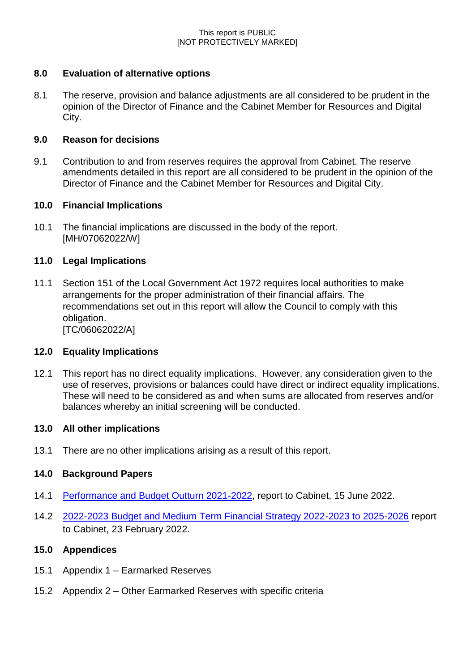# **8.0 Evaluation of alternative options**

8.1 The reserve, provision and balance adjustments are all considered to be prudent in the opinion of the Director of Finance and the Cabinet Member for Resources and Digital City.

### **9.0 Reason for decisions**

9.1 Contribution to and from reserves requires the approval from Cabinet. The reserve amendments detailed in this report are all considered to be prudent in the opinion of the Director of Finance and the Cabinet Member for Resources and Digital City.

### **10.0 Financial Implications**

10.1 The financial implications are discussed in the body of the report. [MH/07062022/W]

### **11.0 Legal Implications**

11.1 Section 151 of the Local Government Act 1972 requires local authorities to make arrangements for the proper administration of their financial affairs. The recommendations set out in this report will allow the Council to comply with this obligation. [TC/06062022/A]

# **12.0 Equality Implications**

12.1 This report has no direct equality implications. However, any consideration given to the use of reserves, provisions or balances could have direct or indirect equality implications. These will need to be considered as and when sums are allocated from reserves and/or balances whereby an initial screening will be conducted.

### **13.0 All other implications**

13.1 There are no other implications arising as a result of this report.

# **14.0 Background Papers**

- 14.1 [Performance and Budget Outturn 2021-2022,](https://wolverhampton.moderngov.co.uk/ieListDocuments.aspx?CId=130&MId=17976&Ver=4) report to Cabinet, 15 June 2022.
- 14.2 [2022-2023 Budget and Medium Term Financial Strategy 2022-2023 to 2025-2026](https://wolverhampton.moderngov.co.uk/ieListDocuments.aspx?CId=130&MId=16155&Ver=4) report to Cabinet, 23 February 2022.

### **15.0 Appendices**

- 15.1 Appendix 1 Earmarked Reserves
- 15.2 Appendix 2 Other Earmarked Reserves with specific criteria